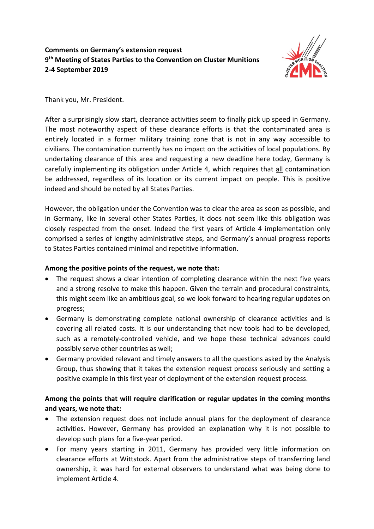## **Comments on Germany's extension request 9th Meeting of States Parties to the Convention on Cluster Munitions 2-4 September 2019**



## Thank you, Mr. President.

After a surprisingly slow start, clearance activities seem to finally pick up speed in Germany. The most noteworthy aspect of these clearance efforts is that the contaminated area is entirely located in a former military training zone that is not in any way accessible to civilians. The contamination currently has no impact on the activities of local populations. By undertaking clearance of this area and requesting a new deadline here today, Germany is carefully implementing its obligation under Article 4, which requires that all contamination be addressed, regardless of its location or its current impact on people. This is positive indeed and should be noted by all States Parties.

However, the obligation under the Convention was to clear the area as soon as possible, and in Germany, like in several other States Parties, it does not seem like this obligation was closely respected from the onset. Indeed the first years of Article 4 implementation only comprised a series of lengthy administrative steps, and Germany's annual progress reports to States Parties contained minimal and repetitive information.

## **Among the positive points of the request, we note that:**

- The request shows a clear intention of completing clearance within the next five years and a strong resolve to make this happen. Given the terrain and procedural constraints, this might seem like an ambitious goal, so we look forward to hearing regular updates on progress;
- Germany is demonstrating complete national ownership of clearance activities and is covering all related costs. It is our understanding that new tools had to be developed, such as a remotely-controlled vehicle, and we hope these technical advances could possibly serve other countries as well;
- Germany provided relevant and timely answers to all the questions asked by the Analysis Group, thus showing that it takes the extension request process seriously and setting a positive example in this first year of deployment of the extension request process.

## **Among the points that will require clarification or regular updates in the coming months and years, we note that:**

- The extension request does not include annual plans for the deployment of clearance activities. However, Germany has provided an explanation why it is not possible to develop such plans for a five-year period.
- For many years starting in 2011, Germany has provided very little information on clearance efforts at Wittstock. Apart from the administrative steps of transferring land ownership, it was hard for external observers to understand what was being done to implement Article 4.